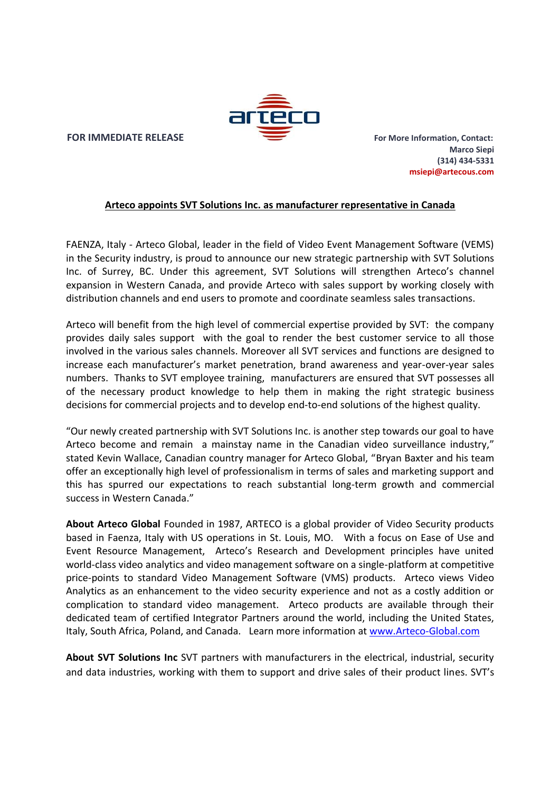

**FOR IMMEDIATE RELEASE For More Information, Contact:** 

**Marco Siepi (314) 434-5331 msiepi@artecous.com**

## **Arteco appoints SVT Solutions Inc. as manufacturer representative in Canada**

FAENZA, Italy - Arteco Global, leader in the field of Video Event Management Software (VEMS) in the Security industry, is proud to announce our new strategic partnership with SVT Solutions Inc. of Surrey, BC. Under this agreement, SVT Solutions will strengthen Arteco's channel expansion in Western Canada, and provide Arteco with sales support by working closely with distribution channels and end users to promote and coordinate seamless sales transactions.

Arteco will benefit from the high level of commercial expertise provided by SVT: the company provides daily sales support with the goal to render the best customer service to all those involved in the various sales channels. Moreover all SVT services and functions are designed to increase each manufacturer's market penetration, brand awareness and year-over-year sales numbers. Thanks to SVT employee training, manufacturers are ensured that SVT possesses all of the necessary product knowledge to help them in making the right strategic business decisions for commercial projects and to develop end-to-end solutions of the highest quality.

"Our newly created partnership with SVT Solutions Inc. is another step towards our goal to have Arteco become and remain a mainstay name in the Canadian video surveillance industry," stated Kevin Wallace, Canadian country manager for Arteco Global, "Bryan Baxter and his team offer an exceptionally high level of professionalism in terms of sales and marketing support and this has spurred our expectations to reach substantial long-term growth and commercial success in Western Canada."

**About Arteco Global** Founded in 1987, ARTECO is a global provider of Video Security products based in Faenza, Italy with US operations in St. Louis, MO. With a focus on Ease of Use and Event Resource Management, Arteco's Research and Development principles have united world-class video analytics and video management software on a single-platform at competitive price-points to standard Video Management Software (VMS) products. Arteco views Video Analytics as an enhancement to the video security experience and not as a costly addition or complication to standard video management. Arteco products are available through their dedicated team of certified Integrator Partners around the world, including the United States, Italy, South Africa, Poland, and Canada. Learn more information at www.Arteco-Global.com

**About SVT Solutions Inc** SVT partners with manufacturers in the electrical, industrial, security and data industries, working with them to support and drive sales of their product lines. SVT's